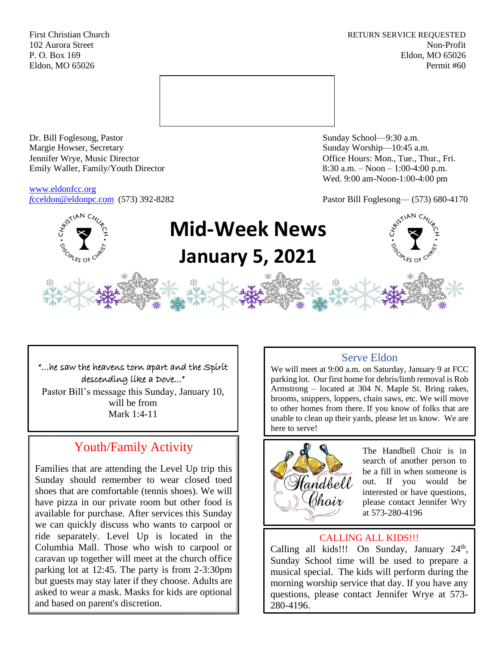First Christian Church **RETURN SERVICE REQUESTED** 102 Aurora Street Non-Profit P. O. Box 169 Eldon, MO 65026 Eldon, MO 65026 Permit #60



Dr. Bill Foglesong, Pastor Sunday School—9:30 a.m. Margie Howser, Secretary Sunday Worship—10:45 a.m. Jennifer Wrye, Music Director Office Hours: Mon., Tue., Thur., Fri. Emily Waller, Family/Youth Director 8:30 a.m. – Noon – 1:00-4:00 p.m.

[www.eldonfcc.org](http://www.eldonfcc.org/)

Wed. 9:00 am-Noon-1:00-4:00 pm

*f*[cceldon@eldonpc.com](mailto:fcceldon@eldonpc.com) (573) 392-8282 Pastor Bill Foglesong— (573) 680-4170



# **Mid-Week News January 5, 2021**

#### "…he saw the heavens torn apart and the Spirit descending like a Dove..."

Pastor Bill's message this Sunday, January 10, will be from Mark 1:4-11

## Youth/Family Activity

Families that are attending the Level Up trip this Sunday should remember to wear closed toed shoes that are comfortable (tennis shoes). We will have pizza in our private room but other food is available for purchase. After services this Sunday we can quickly discuss who wants to carpool or ride separately. Level Up is located in the Columbia Mall. Those who wish to carpool or caravan up together will meet at the church office parking lot at 12:45. The party is from 2-3:30pm but guests may stay later if they choose. Adults are asked to wear a mask. Masks for kids are optional and based on parent's discretion.

## Serve Eldon

We will meet at 9:00 a.m. on Saturday, January 9 at FCC parking lot. Our first home for debris/limb removal is Rob Armstrong – located at 304 N. Maple St. Bring rakes, brooms, snippers, loppers, chain saws, etc. We will move to other homes from there. If you know of folks that are unable to clean up their yards, please let us know. We are here to serve!



The Handbell Choir is in search of another person to be a fill in when someone is out. If you would be interested or have questions, please contact Jennifer Wry at 573-280-4196

## CALLING ALL KIDS!!!

Calling all kids!!! On Sunday, January  $24<sup>th</sup>$ , Sunday School time will be used to prepare a musical special. The kids will perform during the morning worship service that day. If you have any questions, please contact Jennifer Wrye at 573- 280-4196.